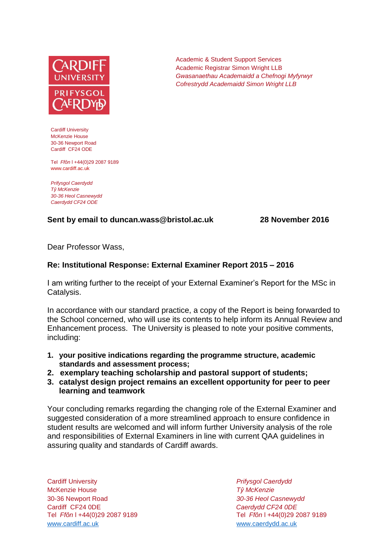

Cardiff University McKenzie House 30-36 Newport Road Cardiff CF24 ODE

Tel *Ffôn* l +44(0)29 2087 9189 www.cardiff.ac.uk

*Prifysgol Caerdydd Tŷ McKenzie 30-36 Heol Casnewydd Caerdydd CF24 ODE*

## **Sent by email to duncan.wass@bristol.ac.uk 28 November 2016**

Dear Professor Wass,

## **Re: Institutional Response: External Examiner Report 2015 – 2016**

I am writing further to the receipt of your External Examiner's Report for the MSc in Catalysis.

In accordance with our standard practice, a copy of the Report is being forwarded to the School concerned, who will use its contents to help inform its Annual Review and Enhancement process. The University is pleased to note your positive comments, including:

- **1. your positive indications regarding the programme structure, academic standards and assessment process;**
- **2. exemplary teaching scholarship and pastoral support of students;**
- **3. catalyst design project remains an excellent opportunity for peer to peer learning and teamwork**

Your concluding remarks regarding the changing role of the External Examiner and suggested consideration of a more streamlined approach to ensure confidence in student results are welcomed and will inform further University analysis of the role and responsibilities of External Examiners in line with current QAA guidelines in assuring quality and standards of Cardiff awards.

Cardiff University *Prifysgol Caerdydd* McKenzie House *Tŷ McKenzie* 30-36 Newport Road *30-36 Heol Casnewydd* Cardiff CF24 0DE *Caerdydd CF24 0DE* [www.cardiff.ac.uk](http://www.cardiff.ac.uk/) www.cardiff.ac.uk

Tel *Ffôn* l +44(0)29 2087 9189 Tel *Ffôn* l +44(0)29 2087 9189

Academic & Student Support Services Academic Registrar Simon Wright LLB *Gwasanaethau Academaidd a Chefnogi Myfyrwyr Cofrestrydd Academaidd Simon Wright LLB*